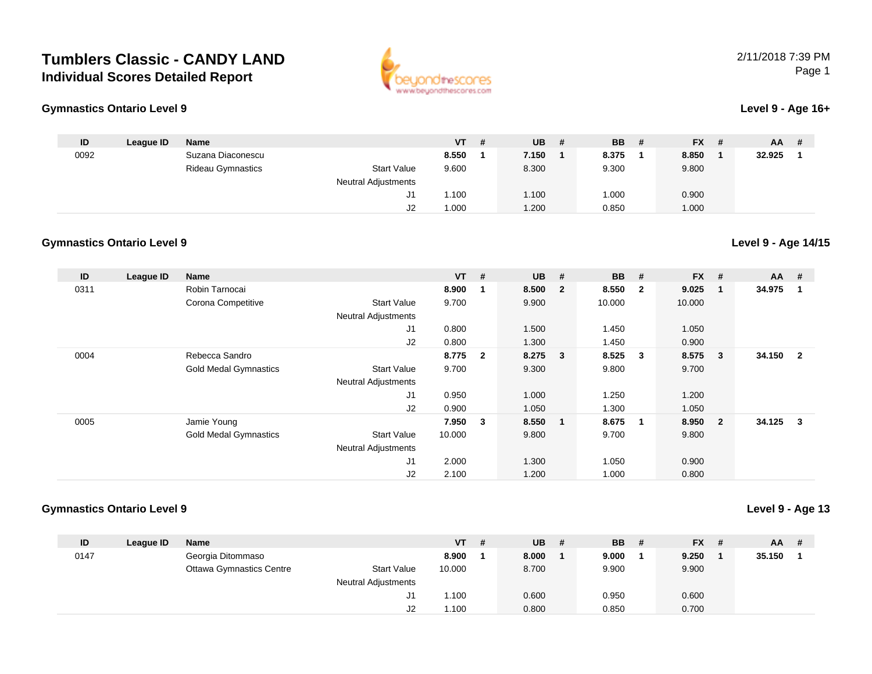# **Tumblers Classic - CANDY LANDIndividual Scores Detailed Report**





## **Level 9 - Age 16+**

| ID   | League ID | Name                     |                            | $VT$ # | $UB$ # | <b>BB</b> | - # | <b>FX</b> | # | <b>AA</b> | # |
|------|-----------|--------------------------|----------------------------|--------|--------|-----------|-----|-----------|---|-----------|---|
| 0092 |           | Suzana Diaconescu        |                            | 8.550  | 7.150  | 8.375     |     | 8.850     |   | 32.925    |   |
|      |           | <b>Rideau Gymnastics</b> | <b>Start Value</b>         | 9.600  | 8.300  | 9.300     |     | 9.800     |   |           |   |
|      |           |                          | <b>Neutral Adjustments</b> |        |        |           |     |           |   |           |   |
|      |           |                          |                            | .100،  | 1.100  | 1.000     |     | 0.900     |   |           |   |
|      |           |                          | J2                         | .000   | .200   | 0.850     |     | 1.000     |   |           |   |

#### **Gymnastics Ontario Level 9**

| ID   | League ID | <b>Name</b>                  |                            | $VT$ # |                         | <b>UB</b> | #                       | <b>BB</b> | #                       | <b>FX</b> | #              | $AA$ # |                |
|------|-----------|------------------------------|----------------------------|--------|-------------------------|-----------|-------------------------|-----------|-------------------------|-----------|----------------|--------|----------------|
| 0311 |           | Robin Tarnocai               |                            | 8.900  | -1                      | 8.500     | $\overline{\mathbf{2}}$ | 8.550     | $\overline{\mathbf{2}}$ | 9.025     | -1             | 34.975 | 1              |
|      |           | Corona Competitive           | <b>Start Value</b>         | 9.700  |                         | 9.900     |                         | 10.000    |                         | 10.000    |                |        |                |
|      |           |                              | <b>Neutral Adjustments</b> |        |                         |           |                         |           |                         |           |                |        |                |
|      |           |                              | J1                         | 0.800  |                         | 1.500     |                         | 1.450     |                         | 1.050     |                |        |                |
|      |           |                              | J2                         | 0.800  |                         | 1.300     |                         | 1.450     |                         | 0.900     |                |        |                |
| 0004 |           | Rebecca Sandro               |                            | 8.775  | $\overline{\mathbf{2}}$ | 8.275     | $\overline{\mathbf{3}}$ | 8.525     | $\mathbf{3}$            | 8.575     | $\mathbf{3}$   | 34.150 | $\overline{2}$ |
|      |           | <b>Gold Medal Gymnastics</b> | <b>Start Value</b>         | 9.700  |                         | 9.300     |                         | 9.800     |                         | 9.700     |                |        |                |
|      |           |                              | <b>Neutral Adjustments</b> |        |                         |           |                         |           |                         |           |                |        |                |
|      |           |                              | J <sub>1</sub>             | 0.950  |                         | 1.000     |                         | 1.250     |                         | 1.200     |                |        |                |
|      |           |                              | J2                         | 0.900  |                         | 1.050     |                         | 1.300     |                         | 1.050     |                |        |                |
| 0005 |           | Jamie Young                  |                            | 7.950  | 3                       | 8.550     | $\overline{\mathbf{1}}$ | 8.675     | -1                      | 8.950     | $\overline{2}$ | 34.125 | 3              |
|      |           | <b>Gold Medal Gymnastics</b> | <b>Start Value</b>         | 10.000 |                         | 9.800     |                         | 9.700     |                         | 9.800     |                |        |                |
|      |           |                              | <b>Neutral Adjustments</b> |        |                         |           |                         |           |                         |           |                |        |                |
|      |           |                              | J <sub>1</sub>             | 2.000  |                         | 1.300     |                         | 1.050     |                         | 0.900     |                |        |                |
|      |           |                              | J <sub>2</sub>             | 2.100  |                         | 1.200     |                         | 1.000     |                         | 0.800     |                |        |                |

# **Gymnastics Ontario Level 9**

**Level 9 - Age 13**

| ID   | League ID | <b>Name</b>                     |                            | VT     | # | <b>UB</b> | <b>BB</b> | - # | <b>FX</b> | - # | <b>AA</b> |  |
|------|-----------|---------------------------------|----------------------------|--------|---|-----------|-----------|-----|-----------|-----|-----------|--|
| 0147 |           | Georgia Ditommaso               |                            | 8.900  |   | 8.000     | 9.000     |     | 9.250     |     | 35.150    |  |
|      |           | <b>Ottawa Gymnastics Centre</b> | <b>Start Value</b>         | 10.000 |   | 8.700     | 9.900     |     | 9.900     |     |           |  |
|      |           |                                 | <b>Neutral Adjustments</b> |        |   |           |           |     |           |     |           |  |
|      |           |                                 | J1                         | .100   |   | 0.600     | 0.950     |     | 0.600     |     |           |  |
|      |           |                                 | J2                         | 1.100  |   | 0.800     | 0.850     |     | 0.700     |     |           |  |

## **Level 9 - Age 14/15**